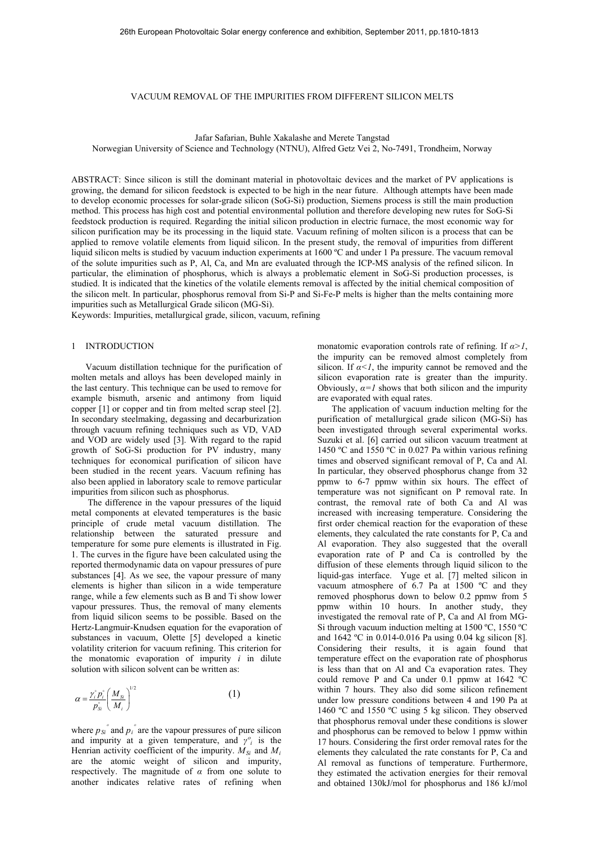## VACUUM REMOVAL OF THE IMPURITIES FROM DIFFERENT SILICON MELTS

Jafar Safarian, Buhle Xakalashe and Merete Tangstad

Norwegian University of Science and Technology (NTNU), Alfred Getz Vei 2, No-7491, Trondheim, Norway

ABSTRACT: Since silicon is still the dominant material in photovoltaic devices and the market of PV applications is growing, the demand for silicon feedstock is expected to be high in the near future. Although attempts have been made to develop economic processes for solar-grade silicon (SoG-Si) production, Siemens process is still the main production method. This process has high cost and potential environmental pollution and therefore developing new rutes for SoG-Si feedstock production is required. Regarding the initial silicon production in electric furnace, the most economic way for silicon purification may be its processing in the liquid state. Vacuum refining of molten silicon is a process that can be applied to remove volatile elements from liquid silicon. In the present study, the removal of impurities from different liquid silicon melts is studied by vacuum induction experiments at 1600 °C and under 1 Pa pressure. The vacuum removal of the solute impurities such as P, Al, Ca, and Mn are evaluated through the ICP-MS analysis of the refined silicon. In particular, the elimination of phosphorus, which is always a problematic element in SoG-Si production processes, is studied. It is indicated that the kinetics of the volatile elements removal is affected by the initial chemical composition of the silicon melt. In particular, phosphorus removal from Si-P and Si-Fe-P melts is higher than the melts containing more impurities such as Metallurgical Grade silicon (MG-Si).

Keywords: Impurities, metallurgical grade, silicon, vacuum, refining

# 1 INTRODUCTION

Vacuum distillation technique for the purification of molten metals and alloys has been developed mainly in the last century. This technique can be used to remove for example bismuth, arsenic and antimony from liquid copper [1] or copper and tin from melted scrap steel [2]. In secondary steelmaking, degassing and decarburization through vacuum refining techniques such as VD, VAD and VOD are widely used [3]. With regard to the rapid growth of SoG-Si production for PV industry, many techniques for economical purification of silicon have been studied in the recent years. Vacuum refining has also been applied in laboratory scale to remove particular impurities from silicon such as phosphorus.

 The difference in the vapour pressures of the liquid metal components at elevated temperatures is the basic principle of crude metal vacuum distillation. The relationship between the saturated pressure and temperature for some pure elements is illustrated in Fig. 1. The curves in the figure have been calculated using the reported thermodynamic data on vapour pressures of pure substances [4]. As we see, the vapour pressure of many elements is higher than silicon in a wide temperature range, while a few elements such as B and Ti show lower vapour pressures. Thus, the removal of many elements from liquid silicon seems to be possible. Based on the Hertz-Langmuir-Knudsen equation for the evaporation of substances in vacuum, Olette [5] developed a kinetic volatility criterion for vacuum refining. This criterion for the monatomic evaporation of impurity *i* in dilute solution with silicon solvent can be written as:

$$
\alpha = \frac{\gamma_i^{\circ} p_i^{\circ}}{p_{si}^{\circ}} \left(\frac{M_{si}}{M_i}\right)^{1/2} \tag{1}
$$

where  $p_{Si}^{\circ}$  and  $p_i^{\circ}$  are the vapour pressures of pure silicon and impurity at a given temperature, and  $\gamma^o$ <sub>*i*</sub> is the Henrian activity coefficient of the impurity.  $M_{Si}$  and  $M_i$ are the atomic weight of silicon and impurity, respectively. The magnitude of *α* from one solute to another indicates relative rates of refining when monatomic evaporation controls rate of refining. If *α>1*, the impurity can be removed almost completely from silicon. If  $\alpha < 1$ , the impurity cannot be removed and the silicon evaporation rate is greater than the impurity. Obviously,  $\alpha = 1$  shows that both silicon and the impurity are evaporated with equal rates.

The application of vacuum induction melting for the purification of metallurgical grade silicon (MG-Si) has been investigated through several experimental works. Suzuki et al. [6] carried out silicon vacuum treatment at 1450 ºC and 1550 ºC in 0.027 Pa within various refining times and observed significant removal of P, Ca and Al. In particular, they observed phosphorus change from 32 ppmw to 6-7 ppmw within six hours. The effect of temperature was not significant on P removal rate. In contrast, the removal rate of both Ca and Al was increased with increasing temperature. Considering the first order chemical reaction for the evaporation of these elements, they calculated the rate constants for P, Ca and Al evaporation. They also suggested that the overall evaporation rate of P and Ca is controlled by the diffusion of these elements through liquid silicon to the liquid-gas interface. Yuge et al. [7] melted silicon in vacuum atmosphere of 6.7 Pa at 1500 ºC and they removed phosphorus down to below 0.2 ppmw from 5 ppmw within 10 hours. In another study, they investigated the removal rate of P, Ca and Al from MG-Si through vacuum induction melting at 1500 ºC, 1550 ºC and 1642 ºC in 0.014-0.016 Pa using 0.04 kg silicon [8]. Considering their results, it is again found that temperature effect on the evaporation rate of phosphorus is less than that on Al and Ca evaporation rates. They could remove P and Ca under 0.1 ppmw at 1642 ºC within 7 hours. They also did some silicon refinement under low pressure conditions between 4 and 190 Pa at 1460 ºC and 1550 ºC using 5 kg silicon. They observed that phosphorus removal under these conditions is slower and phosphorus can be removed to below 1 ppmw within 17 hours. Considering the first order removal rates for the elements they calculated the rate constants for P, Ca and Al removal as functions of temperature. Furthermore, they estimated the activation energies for their removal and obtained 130kJ/mol for phosphorus and 186 kJ/mol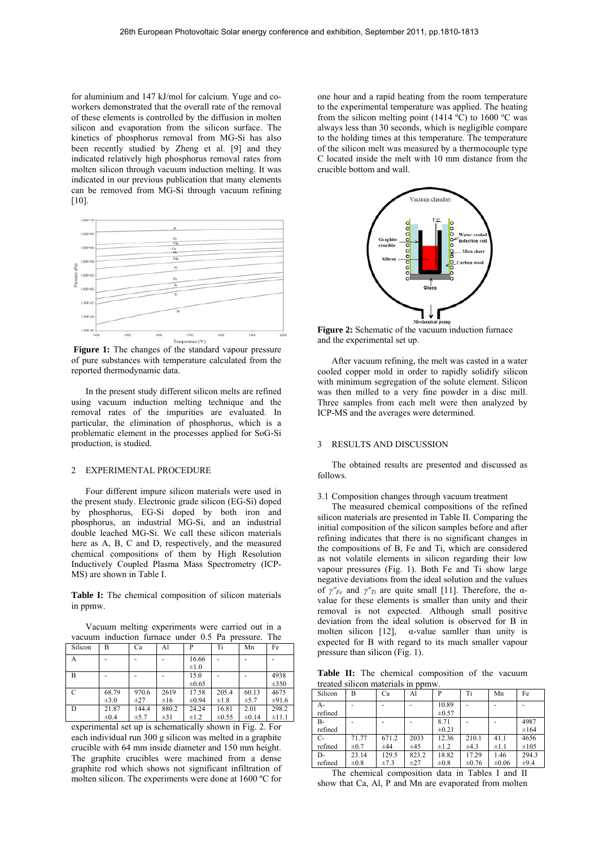for aluminium and 147 kJ/mol for calcium. Yuge and coworkers demonstrated that the overall rate of the removal of these elements is controlled by the diffusion in molten silicon and evaporation from the silicon surface. The kinetics of phosphorus removal from MG-Si has also been recently studied by Zheng et al. [9] and they indicated relatively high phosphorus removal rates from molten silicon through vacuum induction melting. It was indicated in our previous publication that many elements can be removed from MG-Si through vacuum refining  $[10]$ .



**Figure 1:** The changes of the standard vapour pressure of pure substances with temperature calculated from the reported thermodynamic data.

In the present study different silicon melts are refined using vacuum induction melting technique and the removal rates of the impurities are evaluated. In particular, the elimination of phosphorus, which is a problematic element in the processes applied for SoG-Si production, is studied.

## 2 EXPERIMENTAL PROCEDURE

Four different impure silicon materials were used in the present study. Electronic grade silicon (EG-Si) doped by phosphorus, EG-Si doped by both iron and phosphorus, an industrial MG-Si, and an industrial double leached MG-Si. We call these silicon materials here as A, B, C and D, respectively, and the measured chemical compositions of them by High Resolution Inductively Coupled Plasma Mass Spectrometry (ICP-MS) are shown in Table I.

**Table I:** The chemical composition of silicon materials in ppmw.

Vacuum melting experiments were carried out in a vacuum induction furnace under 0.5 Pa pressure. The

| Silicon       | B         | Ca        | Al       | P                  | Ti        | Mn        | Fe         |
|---------------|-----------|-----------|----------|--------------------|-----------|-----------|------------|
| A             |           |           |          | 16.66<br>$\pm 1.0$ |           |           |            |
|               |           |           |          |                    |           |           |            |
| В             |           |           |          | 15.0               |           |           | 4938       |
|               |           |           |          | $\pm 0.65$         |           |           | $\pm 350$  |
| $\mathcal{C}$ | 68.79     | 970.6     | 2619     | 17.58              | 205.4     | 60.13     | 4675       |
|               | $\pm 3.0$ | $\pm 27$  | $\pm 16$ | $\pm 0.94$         | $\pm 1.8$ | $\pm$ 5.7 | $\pm 91.6$ |
| D             | 21.87     | 144.4     | 880.2    | 24.24              | 16.81     | 2.01      | 298.2      |
|               | $\pm 0.4$ | $\pm$ 5.7 | $\pm 31$ | $\pm 1.2$          | ±0.55     | ±0.14     | ±11.1      |

experimental set up is schematically shown in Fig. 2. For each individual run 300 g silicon was melted in a graphite crucible with 64 mm inside diameter and 150 mm height. The graphite crucibles were machined from a dense graphite rod which shows not significant infiltration of molten silicon. The experiments were done at 1600 ºC for

one hour and a rapid heating from the room temperature to the experimental temperature was applied. The heating from the silicon melting point (1414  $\rm{^{\circ}C}$ ) to 1600  $\rm{^{\circ}C}$  was always less than 30 seconds, which is negligible compare to the holding times at this temperature. The temperature of the silicon melt was measured by a thermocouple type C located inside the melt with 10 mm distance from the crucible bottom and wall.



**Figure 2:** Schematic of the vacuum induction furnace and the experimental set up.

After vacuum refining, the melt was casted in a water cooled copper mold in order to rapidly solidify silicon with minimum segregation of the solute element. Silicon was then milled to a very fine powder in a disc mill. Three samples from each melt were then analyzed by ICP-MS and the averages were determined.

### 3 RESULTS AND DISCUSSION

The obtained results are presented and discussed as follows.

## 3.1 Composition changes through vacuum treatment

The measured chemical compositions of the refined silicon materials are presented in Table II. Comparing the initial composition of the silicon samples before and after refining indicates that there is no significant changes in the compositions of B, Fe and Ti, which are considered as not volatile elements in silicon regarding their low vapour pressures (Fig. 1). Both Fe and Ti show large negative deviations from the ideal solution and the values of  $\gamma^o_{Fe}$  and  $\gamma^o_{Ti}$  are quite small [11]. Therefore, the  $\alpha$ value for these elements is smaller than unity and their removal is not expected. Although small positive deviation from the ideal solution is observed for B in molten silicon [12],  $\alpha$ -value samller than unity is expected for B with regard to its much smaller vapour pressure than silicon (Fig. 1).

**Table II:** The chemical composition of the vacuum treated silicon materials in ppmw.

| Silicon | B         | Ca        | Al       | P          | Ti        | Mn         | Fe        |
|---------|-----------|-----------|----------|------------|-----------|------------|-----------|
| A-      |           |           |          | 10.89      |           |            |           |
| refined |           |           |          | $\pm 0.57$ |           |            |           |
| $B -$   |           |           |          | 8.71       |           |            | 4987      |
| refined |           |           |          | $\pm 0.21$ |           |            | $\pm 164$ |
| С-      | 71.77     | 671.2     | 2033     | 12.36      | 210.1     | 41.1       | 4656      |
| refined | $\pm 0.7$ | ±44       | ±45      | $\pm 1.2$  | $\pm 4.3$ | $\pm 1.1$  | $\pm 105$ |
| D-      | 23.14     | 129.5     | 823.2    | 18.82      | 17.29     | 1.46       | 294.3     |
| refined | $\pm 0.8$ | $\pm 7.3$ | $\pm 27$ | $\pm 0.8$  | ±0.76     | $\pm 0.06$ | $\pm 9.4$ |

The chemical composition data in Tables I and II show that Ca, Al, P and Mn are evaporated from molten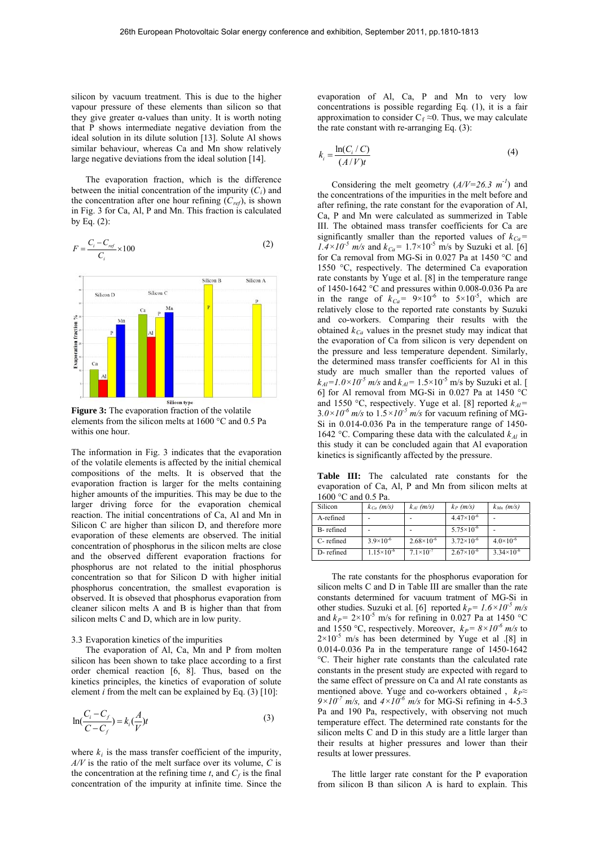silicon by vacuum treatment. This is due to the higher vapour pressure of these elements than silicon so that they give greater  $\alpha$ -values than unity. It is worth noting that P shows intermediate negative deviation from the ideal solution in its dilute solution [13]. Solute Al shows similar behaviour, whereas Ca and Mn show relatively large negative deviations from the ideal solution [14].

The evaporation fraction, which is the difference between the initial concentration of the impurity  $(C_i)$  and the concentration after one hour refining  $(C_{ref})$ , is shown in Fig. 3 for Ca, Al, P and Mn. This fraction is calculated by Eq.  $(2)$ :





**Figure 3:** The evaporation fraction of the volatile elements from the silicon melts at 1600 °C and 0.5 Pa withis one hour.

The information in Fig. 3 indicates that the evaporation of the volatile elements is affected by the initial chemical compositions of the melts. It is observed that the evaporation fraction is larger for the melts containing higher amounts of the impurities. This may be due to the larger driving force for the evaporation chemical reaction. The initial concentrations of Ca, Al and Mn in Silicon C are higher than silicon D, and therefore more evaporation of these elements are observed. The initial concentration of phosphorus in the silicon melts are close and the observed different evaporation fractions for phosphorus are not related to the initial phosphorus concentration so that for Silicon D with higher initial phosphorus concentration, the smallest evaporation is observed. It is obseved that phosphorus evaporation from cleaner silicon melts A and B is higher than that from silicon melts C and D, which are in low purity.

#### 3.3 Evaporation kinetics of the impurities

The evaporation of Al, Ca, Mn and P from molten silicon has been shown to take place according to a first order chemical reaction [6, 8]. Thus, based on the kinetics principles, the kinetics of evaporation of solute element *i* from the melt can be explained by Eq.  $(3)$  [10]:

$$
\ln\left(\frac{C_i - C_f}{C - C_f}\right) = k_i \left(\frac{A}{V}\right) t \tag{3}
$$

where  $k_i$  is the mass transfer coefficient of the impurity, *A/V* is the ratio of the melt surface over its volume, *C* is the concentration at the refining time  $t$ , and  $C_f$  is the final concentration of the impurity at infinite time. Since the evaporation of Al, Ca, P and Mn to very low concentrations is possible regarding Eq. (1), it is a fair approximation to consider  $C_f \approx 0$ . Thus, we may calculate the rate constant with re-arranging Eq. (3):

$$
k_i = \frac{\ln(C_i/C)}{(A/V)t}
$$
 (4)

Considering the melt geometry  $(A/V=26.3 \text{ m}^{-1})$  and the concentrations of the impurities in the melt before and after refining, the rate constant for the evaporation of Al, Ca, P and Mn were calculated as summerized in Table III. The obtained mass transfer coefficients for Ca are significantly smaller than the reported values of  $k_{Ca}$ =  $1.4 \times 10^{-5}$  m/s and  $k_{Ca}$  = 1.7×10<sup>-5</sup> m/s by Suzuki et al. [6] for Ca removal from MG-Si in 0.027 Pa at 1450 °C and 1550 °C, respectively. The determined Ca evaporation rate constants by Yuge et al. [8] in the temperature range of 1450-1642 °C and pressures within 0.008-0.036 Pa are in the range of  $k_{Ca} = 9 \times 10^{-6}$  to  $5 \times 10^{-5}$ , which are relatively close to the reported rate constants by Suzuki and co-workers. Comparing their results with the obtained  $k_{Ca}$  values in the presnet study may indicat that the evaporation of Ca from silicon is very dependent on the pressure and less temperature dependent. Similarly, the determined mass transfer coefficients for Al in this study are much smaller than the reported values of  $k_{Al} = 1.0 \times 10^{-5}$  m/s and  $k_{Al} = 1.5 \times 10^{-5}$  m/s by Suzuki et al. [ 6] for Al removal from MG-Si in 0.027 Pa at 1450 °C and 1550 °C, respectively. Yuge et al. [8] reported  $k_{Al}$ =  $3.0\times10^{-6}$  m/s to  $1.5\times10^{-5}$  m/s for vacuum refining of MG-Si in 0.014-0.036 Pa in the temperature range of 1450- 1642 °C. Comparing these data with the calculated  $k_{Al}$  in this study it can be concluded again that Al evaporation kinetics is significantly affected by the pressure.

**Table III:** The calculated rate constants for the evaporation of Ca, Al, P and Mn from silicon melts at 1600 °C and 0.5 Pa.

| Silicon   | $k_{Ca}$ (m/s)      | $k_{Al}$ (m/s)      | $k_P$ (m/s)           | $k_{Mn}$ (m/s)      |
|-----------|---------------------|---------------------|-----------------------|---------------------|
| A-refined |                     |                     | $4.47\times10^{-6}$   |                     |
| B-refined |                     |                     | $5.75 \times 10^{-6}$ |                     |
| C-refined | $3.9\times10^{-6}$  | $2.68\times10^{-6}$ | $3.72\times10^{-6}$   | $4.0\times10^{-6}$  |
| D-refined | $1.15\times10^{-6}$ | $7.1\times10^{-7}$  | $2.67\times10^{-6}$   | $3.34\times10^{-6}$ |

The rate constants for the phosphorus evaporation for silicon melts C and D in Table III are smaller than the rate constants determined for vacuum tratment of MG-Si in other studies. Suzuki et al. [6] reported  $k_P = 1.6 \times 10^{-5}$  m/s and  $k_P$ = 2×10<sup>-5</sup> m/s for refining in 0.027 Pa at 1450 °C and 1550 °C, respectively. Moreover,  $k_P = 8 \times 10^{-6}$  m/s to  $2\times10^{-5}$  m/s has been determined by Yuge et al .[8] in 0.014-0.036 Pa in the temperature range of 1450-1642 °C. Their higher rate constants than the calculated rate constants in the present study are expected with regard to the same effect of pressure on Ca and Al rate constants as mentioned above. Yuge and co-workers obtained,  $k_P \approx$  $9\times10^{-7}$  m/s, and  $4\times10^{-6}$  m/s for MG-Si refining in 4-5.3 Pa and 190 Pa, respectively, with observing not much temperature effect. The determined rate constants for the silicon melts C and D in this study are a little larger than their results at higher pressures and lower than their results at lower pressures.

The little larger rate constant for the P evaporation from silicon B than silicon A is hard to explain. This